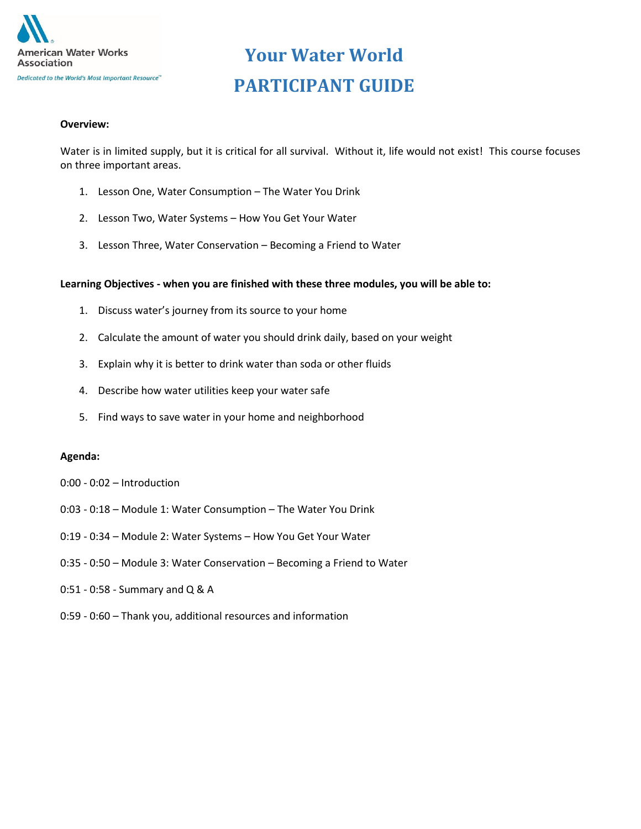

### **Overview:**

Water is in limited supply, but it is critical for all survival. Without it, life would not exist! This course focuses on three important areas.

- 1. Lesson One, Water Consumption The Water You Drink
- 2. Lesson Two, Water Systems How You Get Your Water
- 3. Lesson Three, Water Conservation Becoming a Friend to Water

### **Learning Objectives - when you are finished with these three modules, you will be able to:**

- 1. Discuss water's journey from its source to your home
- 2. Calculate the amount of water you should drink daily, based on your weight
- 3. Explain why it is better to drink water than soda or other fluids
- 4. Describe how water utilities keep your water safe
- 5. Find ways to save water in your home and neighborhood

### **Agenda:**

- 0:00 0:02 Introduction
- 0:03 0:18 Module 1: Water Consumption The Water You Drink
- 0:19 0:34 Module 2: Water Systems How You Get Your Water
- 0:35 0:50 Module 3: Water Conservation Becoming a Friend to Water
- 0:51 0:58 Summary and Q & A
- 0:59 0:60 Thank you, additional resources and information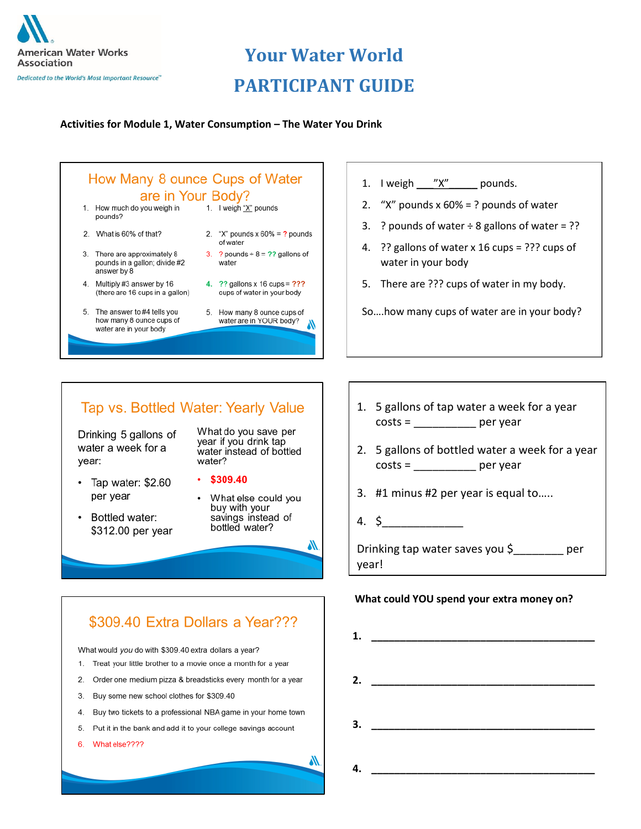

### **Activities for Module 1, Water Consumption – The Water You Drink**



- 1. I weigh  $\frac{r}{x''}$  pounds.
- 2. "X" pounds x 60% = ? pounds of water
- 3. ? pounds of water  $\div$  8 gallons of water = ??
- 4. ?? gallons of water x 16 cups = ??? cups of water in your body
- 5. There are ??? cups of water in my body.

So….how many cups of water are in your body?

### Tap vs. Bottled Water: Yearly Value

Drinking 5 gallons of water a week for a year:

What do you save per year if you drink tap water instead of bottled water?

- Tap water: \$2.60 per year
- Bottled water: \$312.00 per year

 $.5309.40$ 

What else could you buy with your savings instead of bottled water?

₩

₩

## \$309.40 Extra Dollars a Year???

What would you do with \$309.40 extra dollars a year?

- 1. Treat your little brother to a movie once a month for a year
- 2. Order one medium pizza & breadsticks every month for a year
- 3. Buy some new school clothes for \$309.40
- $4<sub>1</sub>$ Buy two tickets to a professional NBA game in your home town
- 5. Put it in the bank and add it to your college savings account
- 6. What else????
- 1. 5 gallons of tap water a week for a year costs = \_\_\_\_\_\_\_\_\_\_ per year
- 2. 5 gallons of bottled water a week for a year  $costs =$   $per year$
- 3. #1 minus #2 per year is equal to…..
- 4.  $\zeta$

Drinking tap water saves you \$\_\_\_\_\_\_\_\_ per year!

### **What could YOU spend your extra money on?**

|    | 2. $\qquad \qquad$ |  |
|----|--------------------|--|
|    |                    |  |
| 4. |                    |  |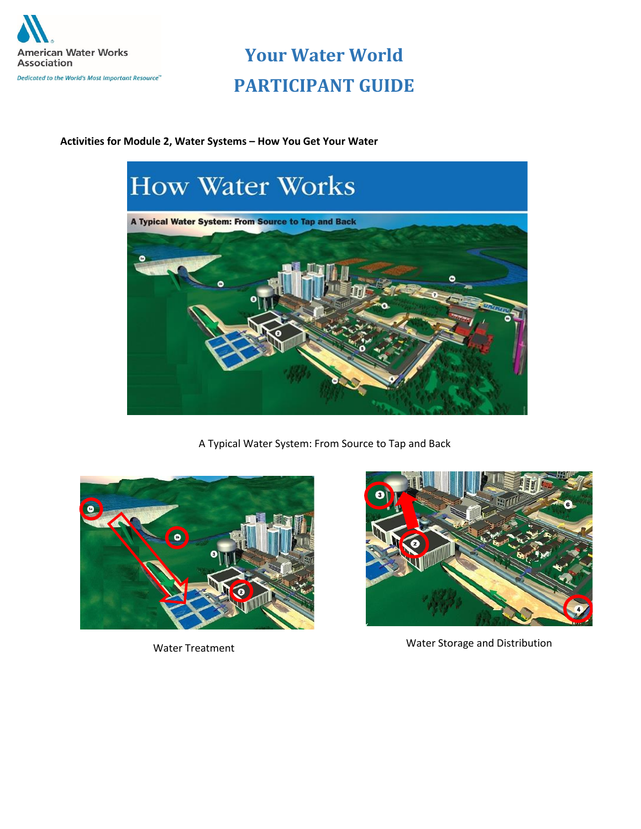

### **Activities for Module 2, Water Systems – How You Get Your Water**



A Typical Water System: From Source to Tap and Back





Water Treatment Water Storage and Distribution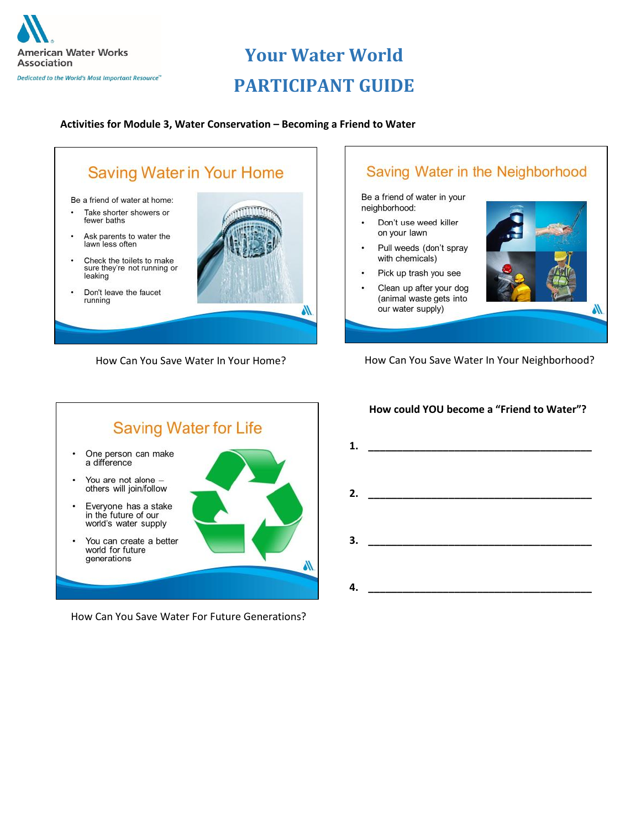

### **Activities for Module 3, Water Conservation – Becoming a Friend to Water**





How Can You Save Water In Your Home? How Can You Save Water In Your Neighborhood?



How Can You Save Water For Future Generations?

### **How could YOU become a "Friend to Water"?**